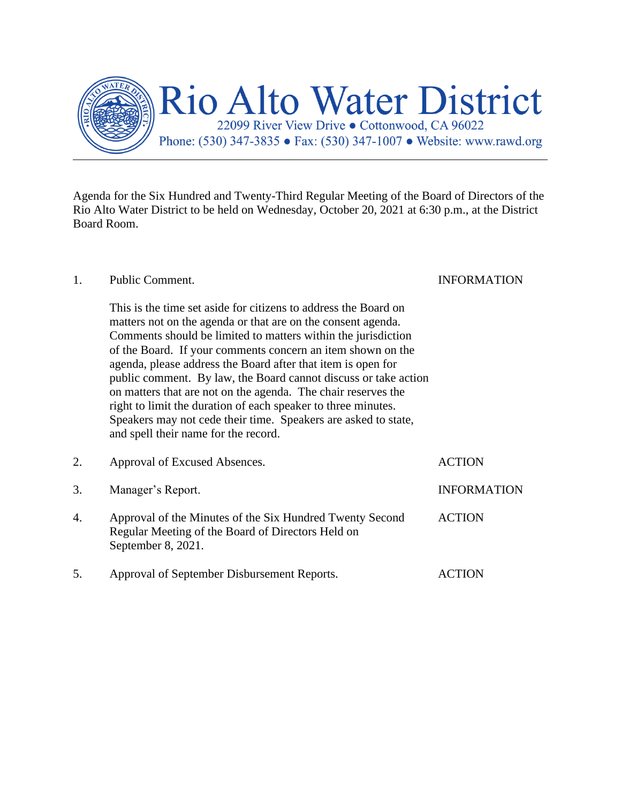

Agenda for the Six Hundred and Twenty-Third Regular Meeting of the Board of Directors of the Rio Alto Water District to be held on Wednesday, October 20, 2021 at 6:30 p.m., at the District Board Room.

## 1. Public Comment. INFORMATION This is the time set aside for citizens to address the Board on matters not on the agenda or that are on the consent agenda. Comments should be limited to matters within the jurisdiction of the Board. If your comments concern an item shown on the agenda, please address the Board after that item is open for public comment. By law, the Board cannot discuss or take action on matters that are not on the agenda. The chair reserves the right to limit the duration of each speaker to three minutes. Speakers may not cede their time. Speakers are asked to state, and spell their name for the record. 2. Approval of Excused Absences. ACTION 3. Manager's Report. INFORMATION 4. Approval of the Minutes of the Six Hundred Twenty Second ACTION Regular Meeting of the Board of Directors Held on September 8, 2021. 5. Approval of September Disbursement Reports. ACTION